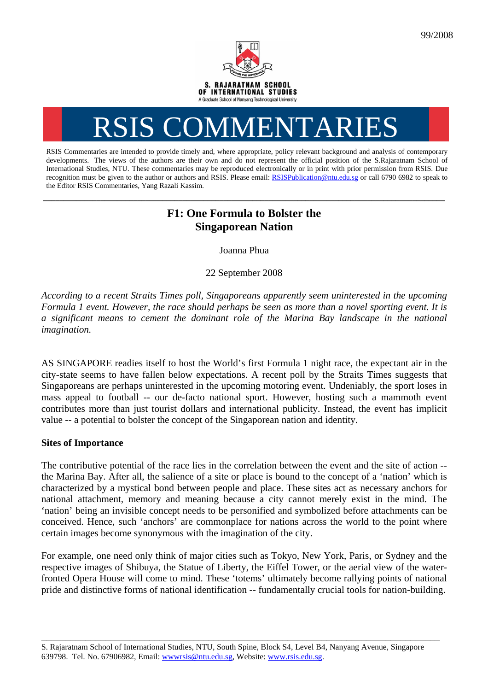

# RSIS COMMENTARI

RSIS Commentaries are intended to provide timely and, where appropriate, policy relevant background and analysis of contemporary developments. The views of the authors are their own and do not represent the official position of the S.Rajaratnam School of International Studies, NTU. These commentaries may be reproduced electronically or in print with prior permission from RSIS. Due recognition must be given to the author or authors and RSIS. Please email: [RSISPublication@ntu.edu.sg](mailto:RSISPublication@ntu.edu.sg) or call 6790 6982 to speak to the Editor RSIS Commentaries, Yang Razali Kassim.

# **F1: One Formula to Bolster the Singaporean Nation**

**\_\_\_\_\_\_\_\_\_\_\_\_\_\_\_\_\_\_\_\_\_\_\_\_\_\_\_\_\_\_\_\_\_\_\_\_\_\_\_\_\_\_\_\_\_\_\_\_\_\_\_\_\_\_\_\_\_\_\_\_\_\_\_\_\_\_\_\_\_\_\_\_\_\_\_\_\_\_\_\_\_\_\_\_\_\_\_\_\_\_\_\_\_\_\_\_\_\_** 

Joanna Phua

22 September 2008

*According to a recent Straits Times poll, Singaporeans apparently seem uninterested in the upcoming Formula 1 event. However, the race should perhaps be seen as more than a novel sporting event. It is a significant means to cement the dominant role of the Marina Bay landscape in the national imagination.* 

AS SINGAPORE readies itself to host the World's first Formula 1 night race, the expectant air in the city-state seems to have fallen below expectations. A recent poll by the Straits Times suggests that Singaporeans are perhaps uninterested in the upcoming motoring event. Undeniably, the sport loses in mass appeal to football -- our de-facto national sport. However, hosting such a mammoth event contributes more than just tourist dollars and international publicity. Instead, the event has implicit value -- a potential to bolster the concept of the Singaporean nation and identity.

# **Sites of Importance**

The contributive potential of the race lies in the correlation between the event and the site of action - the Marina Bay. After all, the salience of a site or place is bound to the concept of a 'nation' which is characterized by a mystical bond between people and place. These sites act as necessary anchors for national attachment, memory and meaning because a city cannot merely exist in the mind. The 'nation' being an invisible concept needs to be personified and symbolized before attachments can be conceived. Hence, such 'anchors' are commonplace for nations across the world to the point where certain images become synonymous with the imagination of the city.

For example, one need only think of major cities such as Tokyo, New York, Paris, or Sydney and the respective images of Shibuya, the Statue of Liberty, the Eiffel Tower, or the aerial view of the waterfronted Opera House will come to mind. These 'totems' ultimately become rallying points of national pride and distinctive forms of national identification -- fundamentally crucial tools for nation-building.

\_\_\_\_\_\_\_\_\_\_\_\_\_\_\_\_\_\_\_\_\_\_\_\_\_\_\_\_\_\_\_\_\_\_\_\_\_\_\_\_\_\_\_\_\_\_\_\_\_\_\_\_\_\_\_\_\_\_\_\_\_\_\_\_\_\_\_\_\_\_\_\_\_\_\_\_\_\_\_\_\_

S. Rajaratnam School of International Studies, NTU, South Spine, Block S4, Level B4, Nanyang Avenue, Singapore 639798. Tel. No. 67906982, Email: wwwrsis@ntu.edu.sg, Website: www.rsis.edu.sg.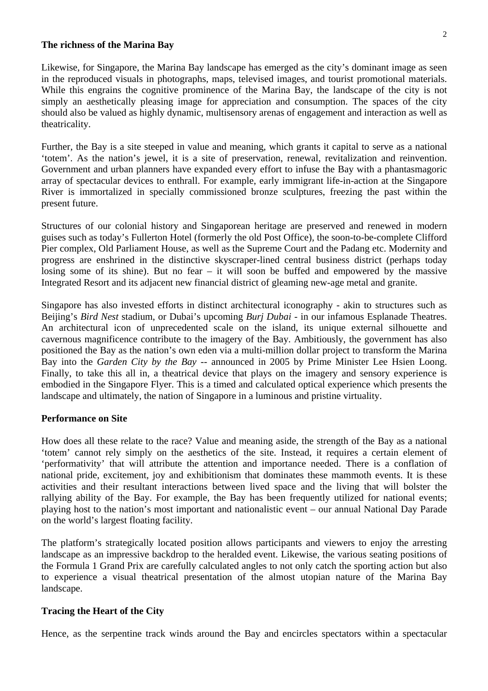#### **The richness of the Marina Bay**

Likewise, for Singapore, the Marina Bay landscape has emerged as the city's dominant image as seen in the reproduced visuals in photographs, maps, televised images, and tourist promotional materials. While this engrains the cognitive prominence of the Marina Bay, the landscape of the city is not simply an aesthetically pleasing image for appreciation and consumption. The spaces of the city should also be valued as highly dynamic, multisensory arenas of engagement and interaction as well as theatricality.

Further, the Bay is a site steeped in value and meaning, which grants it capital to serve as a national 'totem'. As the nation's jewel, it is a site of preservation, renewal, revitalization and reinvention. Government and urban planners have expanded every effort to infuse the Bay with a phantasmagoric array of spectacular devices to enthrall. For example, early immigrant life-in-action at the Singapore River is immortalized in specially commissioned bronze sculptures, freezing the past within the present future.

Structures of our colonial history and Singaporean heritage are preserved and renewed in modern guises such as today's Fullerton Hotel (formerly the old Post Office), the soon-to-be-complete Clifford Pier complex, Old Parliament House, as well as the Supreme Court and the Padang etc. Modernity and progress are enshrined in the distinctive skyscraper-lined central business district (perhaps today losing some of its shine). But no fear – it will soon be buffed and empowered by the massive Integrated Resort and its adjacent new financial district of gleaming new-age metal and granite.

Singapore has also invested efforts in distinct architectural iconography - akin to structures such as Beijing's *Bird Nest* stadium, or Dubai's upcoming *Burj Dubai -* in our infamous Esplanade Theatres. An architectural icon of unprecedented scale on the island, its unique external silhouette and cavernous magnificence contribute to the imagery of the Bay. Ambitiously, the government has also positioned the Bay as the nation's own eden via a multi-million dollar project to transform the Marina Bay into the *Garden City by the Bay* -- announced in 2005 by Prime Minister Lee Hsien Loong. Finally, to take this all in, a theatrical device that plays on the imagery and sensory experience is embodied in the Singapore Flyer. This is a timed and calculated optical experience which presents the landscape and ultimately, the nation of Singapore in a luminous and pristine virtuality.

## **Performance on Site**

How does all these relate to the race? Value and meaning aside, the strength of the Bay as a national 'totem' cannot rely simply on the aesthetics of the site. Instead, it requires a certain element of 'performativity' that will attribute the attention and importance needed. There is a conflation of national pride, excitement, joy and exhibitionism that dominates these mammoth events. It is these activities and their resultant interactions between lived space and the living that will bolster the rallying ability of the Bay. For example, the Bay has been frequently utilized for national events; playing host to the nation's most important and nationalistic event – our annual National Day Parade on the world's largest floating facility.

The platform's strategically located position allows participants and viewers to enjoy the arresting landscape as an impressive backdrop to the heralded event. Likewise, the various seating positions of the Formula 1 Grand Prix are carefully calculated angles to not only catch the sporting action but also to experience a visual theatrical presentation of the almost utopian nature of the Marina Bay landscape.

### **Tracing the Heart of the City**

Hence, as the serpentine track winds around the Bay and encircles spectators within a spectacular